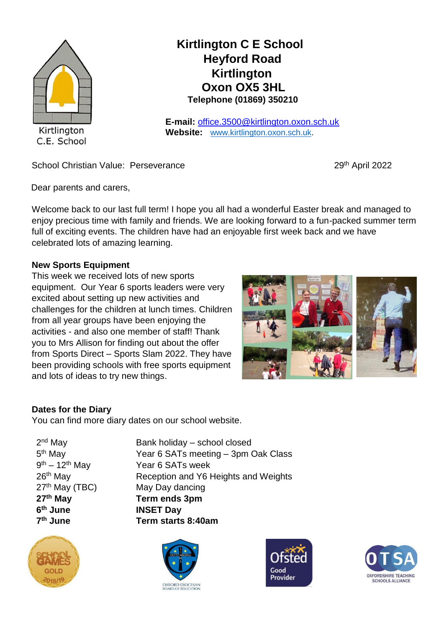

# **Kirtlington C E School Heyford Road Kirtlington Oxon OX5 3HL Telephone (01869) 350210**

**E-mail:** office.3500@kirtlington.oxon.sch.uk **Website:** [www.kirtlington.oxon.sch.uk.](http://www.kirtlington.oxon.sch.uk/)

School Christian Value: Perseverance 29<sup>th</sup> April 2022

Dear parents and carers,

Welcome back to our last full term! I hope you all had a wonderful Easter break and managed to enjoy precious time with family and friends. We are looking forward to a fun-packed summer term full of exciting events. The children have had an enjoyable first week back and we have celebrated lots of amazing learning.

# **New Sports Equipment**

This week we received lots of new sports equipment. Our Year 6 sports leaders were very excited about setting up new activities and challenges for the children at lunch times. Children from all year groups have been enjoying the activities - and also one member of staff! Thank you to Mrs Allison for finding out about the offer from Sports Direct – Sports Slam 2022. They have been providing schools with free sports equipment and lots of ideas to try new things.



# **Dates for the Diary**

You can find more diary dates on our school website.

2<sup>nd</sup> May 5<sup>th</sup> May  $9<sup>th</sup> - 12<sup>th</sup>$  Mav **6 7<sup>th</sup>** June

2018/1<sup>9</sup>



Bank holiday – school closed Year 6 SATs meeting – 3pm Oak Class Year 6 SATs week 26<sup>th</sup> May Reception and Y6 Heights and Weights 27<sup>th</sup> May (TBC) May Day dancing **27th May Term ends 3pm INSET Day th June Term starts 8:40am**